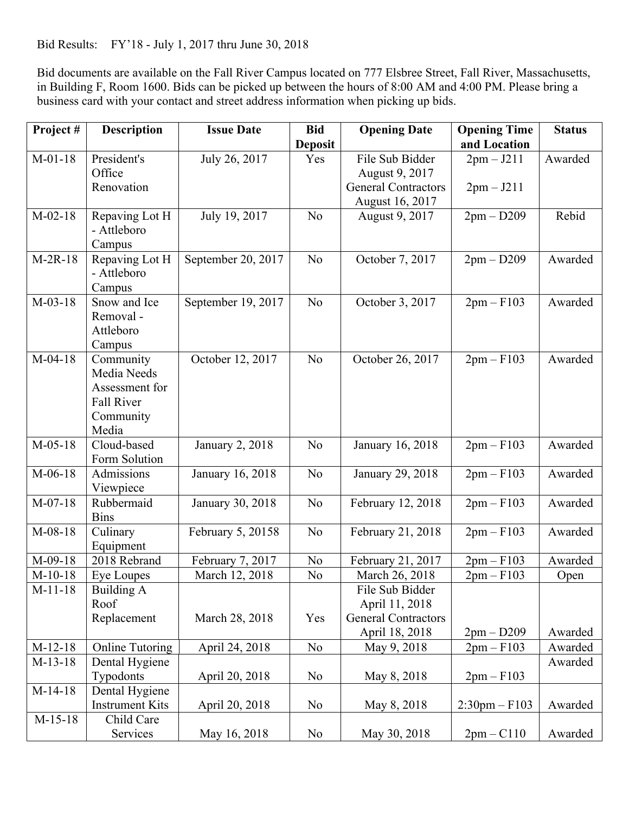Bid Results: FY'18 - July 1, 2017 thru June 30, 2018

Bid documents are available on the Fall River Campus located on 777 Elsbree Street, Fall River, Massachusetts, in Building F, Room 1600. Bids can be picked up between the hours of 8:00 AM and 4:00 PM. Please bring a business card with your contact and street address information when picking up bids.

| Project#  | <b>Description</b>     | <b>Issue Date</b>      | <b>Bid</b>     | <b>Opening Date</b>        | <b>Opening Time</b> | <b>Status</b> |
|-----------|------------------------|------------------------|----------------|----------------------------|---------------------|---------------|
|           |                        |                        | <b>Deposit</b> |                            | and Location        |               |
| $M-01-18$ | President's            | July 26, 2017          | Yes            | File Sub Bidder            | $2pm - J211$        | Awarded       |
|           | Office                 |                        |                | August 9, 2017             |                     |               |
|           | Renovation             |                        |                | <b>General Contractors</b> | $2pm - J211$        |               |
|           |                        |                        |                | August 16, 2017            |                     |               |
| $M-02-18$ | Repaving Lot H         | July 19, 2017          | N <sub>0</sub> | August 9, 2017             | $2pm - D209$        | Rebid         |
|           | - Attleboro            |                        |                |                            |                     |               |
|           | Campus                 |                        |                |                            |                     |               |
| $M-2R-18$ | Repaving Lot H         | September 20, 2017     | N <sub>o</sub> | October 7, 2017            | $2pm - D209$        | Awarded       |
|           | - Attleboro            |                        |                |                            |                     |               |
|           | Campus                 |                        |                |                            |                     |               |
| $M-03-18$ | Snow and Ice           | September 19, 2017     | N <sub>0</sub> | October 3, 2017            | $2pm-F103$          | Awarded       |
|           | Removal -              |                        |                |                            |                     |               |
|           | Attleboro              |                        |                |                            |                     |               |
|           | Campus                 |                        |                |                            |                     |               |
| $M-04-18$ | Community              | October 12, 2017       | N <sub>o</sub> | October 26, 2017           | $2pm-F103$          | Awarded       |
|           | Media Needs            |                        |                |                            |                     |               |
|           | Assessment for         |                        |                |                            |                     |               |
|           | <b>Fall River</b>      |                        |                |                            |                     |               |
|           | Community              |                        |                |                            |                     |               |
|           | Media                  |                        |                |                            |                     |               |
| $M-05-18$ | Cloud-based            | <b>January 2, 2018</b> | N <sub>0</sub> | January 16, 2018           | $2pm-F103$          | Awarded       |
|           | Form Solution          |                        |                |                            |                     |               |
| $M-06-18$ | Admissions             | January 16, 2018       | N <sub>o</sub> | January 29, 2018           | $2pm-F103$          | Awarded       |
|           | Viewpiece              |                        |                |                            |                     |               |
| $M-07-18$ | Rubbermaid             | January 30, 2018       | N <sub>0</sub> | February 12, 2018          | $2pm-F103$          | Awarded       |
|           | <b>Bins</b>            |                        |                |                            |                     |               |
| $M-08-18$ | Culinary               | February 5, 20158      | N <sub>o</sub> | February 21, 2018          | $2pm-F103$          | Awarded       |
|           | Equipment              |                        |                |                            |                     |               |
| $M-09-18$ | 2018 Rebrand           | February 7, 2017       | N <sub>0</sub> | February 21, 2017          | $2pm-F103$          | Awarded       |
| $M-10-18$ | Eye Loupes             | March 12, 2018         | N <sub>0</sub> | March 26, 2018             | $2pm-F103$          | Open          |
| $M-11-18$ | Building A             |                        |                | File Sub Bidder            |                     |               |
|           | Roof                   |                        |                | April 11, 2018             |                     |               |
|           | Replacement            | March 28, 2018         | Yes            | <b>General Contractors</b> |                     |               |
|           |                        |                        |                | April 18, 2018             | $2pm - D209$        | Awarded       |
| $M-12-18$ | <b>Online Tutoring</b> | April 24, 2018         | N <sub>0</sub> | May 9, 2018                | $2pm-F103$          | Awarded       |
| $M-13-18$ | Dental Hygiene         |                        |                |                            |                     | Awarded       |
|           | Typodonts              | April 20, 2018         | No             | May 8, 2018                | $2pm-F103$          |               |
| $M-14-18$ | Dental Hygiene         |                        |                |                            |                     |               |
|           | <b>Instrument Kits</b> | April 20, 2018         | N <sub>0</sub> | May 8, 2018                | $2:30$ pm – $F103$  | Awarded       |
| $M-15-18$ | Child Care             |                        |                |                            |                     |               |
|           | Services               | May 16, 2018           | N <sub>0</sub> | May 30, 2018               | $2pm - C110$        | Awarded       |